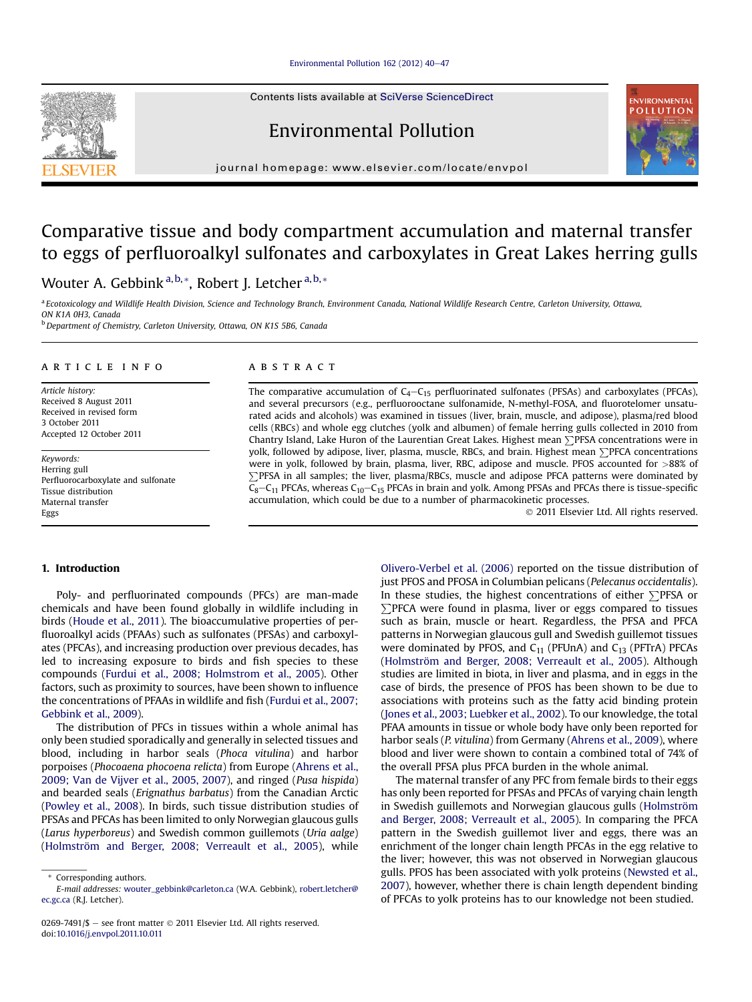#### Environmental Pollution 162 (2012)  $40-47$  $40-47$

Contents lists available at SciVerse ScienceDirect





journal homepage: [www.elsevier.com/locate/envpol](http://www.elsevier.com/locate/envpol)

# Comparative tissue and body compartment accumulation and maternal transfer to eggs of perfluoroalkyl sulfonates and carboxylates in Great Lakes herring gulls

Wouter A. Gebbink<sup>a,b,\*</sup>, Robert J. Letcher<sup>a,b,\*</sup>

a Ecotoxicology and Wildlife Health Division, Science and Technology Branch, Environment Canada, National Wildlife Research Centre, Carleton University, Ottawa, ON K1A 0H3, Canada

<sup>b</sup> Department of Chemistry, Carleton University, Ottawa, ON K1S 5B6, Canada

#### article info

Article history: Received 8 August 2011 Received in revised form 3 October 2011 Accepted 12 October 2011

Keywords: Herring gull Perfluorocarboxylate and sulfonate Tissue distribution Maternal transfer Eggs

#### **ABSTRACT**

The comparative accumulation of  $C_4 - C_{15}$  perfluorinated sulfonates (PFSAs) and carboxylates (PFCAs), and several precursors (e.g., perfluorooctane sulfonamide, N-methyl-FOSA, and fluorotelomer unsaturated acids and alcohols) was examined in tissues (liver, brain, muscle, and adipose), plasma/red blood cells (RBCs) and whole egg clutches (yolk and albumen) of female herring gulls collected in 2010 from Chantry Island, Lake Huron of the Laurentian Great Lakes. Highest mean  $\sum$ PFSA concentrations were in yolk, followed by adipose, liver, plasma, muscle, RBCs, and brain. Highest mean  $\Sigma$ PFCA concentrations were in yolk, followed by brain, plasma, liver, RBC, adipose and muscle. PFOS accounted for >88% of PPFSA in all samples; the liver, plasma/RBCs, muscle and adipose PFCA patterns were dominated by  $\overline{C_8}$ –C<sub>11</sub> PFCAs, whereas C<sub>10</sub>–C<sub>15</sub> PFCAs in brain and yolk. Among PFSAs and PFCAs there is tissue-specific accumulation, which could be due to a number of pharmacokinetic processes.

2011 Elsevier Ltd. All rights reserved.

# 1. Introduction

Poly- and perfluorinated compounds (PFCs) are man-made chemicals and have been found globally in wildlife including in birds ([Houde et al., 2011\)](#page-6-0). The bioaccumulative properties of perfluoroalkyl acids (PFAAs) such as sulfonates (PFSAs) and carboxylates (PFCAs), and increasing production over previous decades, has led to increasing exposure to birds and fish species to these compounds ([Furdui et al., 2008; Holmstrom et al., 2005\)](#page-6-0). Other factors, such as proximity to sources, have been shown to influence the concentrations of PFAAs in wildlife and fish ([Furdui et al., 2007;](#page-6-0) [Gebbink et al., 2009\)](#page-6-0).

The distribution of PFCs in tissues within a whole animal has only been studied sporadically and generally in selected tissues and blood, including in harbor seals (Phoca vitulina) and harbor porpoises (Phocoaena phocoena relicta) from Europe ([Ahrens et al.,](#page-6-0) [2009; Van de Vijver et al., 2005, 2007](#page-6-0)), and ringed (Pusa hispida) and bearded seals (Erignathus barbatus) from the Canadian Arctic ([Powley et al., 2008\)](#page-6-0). In birds, such tissue distribution studies of PFSAs and PFCAs has been limited to only Norwegian glaucous gulls (Larus hyperboreus) and Swedish common guillemots (Uria aalge) ([Holmström and Berger, 2008; Verreault et al., 2005](#page-6-0)), while

[Olivero-Verbel et al. \(2006\)](#page-6-0) reported on the tissue distribution of just PFOS and PFOSA in Columbian pelicans (Pelecanus occidentalis). In these studies, the highest concentrations of either  $\Sigma$ PFSA or  $\sum$ PFCA were found in plasma, liver or eggs compared to tissues such as brain, muscle or heart. Regardless, the PFSA and PFCA patterns in Norwegian glaucous gull and Swedish guillemot tissues were dominated by PFOS, and  $C_{11}$  (PFUnA) and  $C_{13}$  (PFTrA) PFCAs ([Holmström and Berger, 2008; Verreault et al., 2005](#page-6-0)). Although studies are limited in biota, in liver and plasma, and in eggs in the case of birds, the presence of PFOS has been shown to be due to associations with proteins such as the fatty acid binding protein ([Jones et al., 2003; Luebker et al., 2002](#page-6-0)). To our knowledge, the total PFAA amounts in tissue or whole body have only been reported for harbor seals (P. vitulina) from Germany [\(Ahrens et al., 2009](#page-6-0)), where blood and liver were shown to contain a combined total of 74% of the overall PFSA plus PFCA burden in the whole animal.

The maternal transfer of any PFC from female birds to their eggs has only been reported for PFSAs and PFCAs of varying chain length in Swedish guillemots and Norwegian glaucous gulls ([Holmström](#page-6-0) [and Berger, 2008; Verreault et al., 2005\)](#page-6-0). In comparing the PFCA pattern in the Swedish guillemot liver and eggs, there was an enrichment of the longer chain length PFCAs in the egg relative to the liver; however, this was not observed in Norwegian glaucous gulls. PFOS has been associated with yolk proteins [\(Newsted et al.,](#page-6-0) [2007\)](#page-6-0), however, whether there is chain length dependent binding of PFCAs to yolk proteins has to our knowledge not been studied.

<sup>\*</sup> Corresponding authors.

E-mail addresses: [wouter\\_gebbink@carleton.ca](mailto:wouter_gebbink@carleton.ca) (W.A. Gebbink), [robert.letcher@](mailto:robert.letcher@ec.gc.ca) [ec.gc.ca](mailto:robert.letcher@ec.gc.ca) (R.J. Letcher).

<sup>0269-7491/\$ -</sup> see front matter  $\odot$  2011 Elsevier Ltd. All rights reserved. doi:[10.1016/j.envpol.2011.10.011](http://dx.doi.org/10.1016/j.envpol.2011.10.011)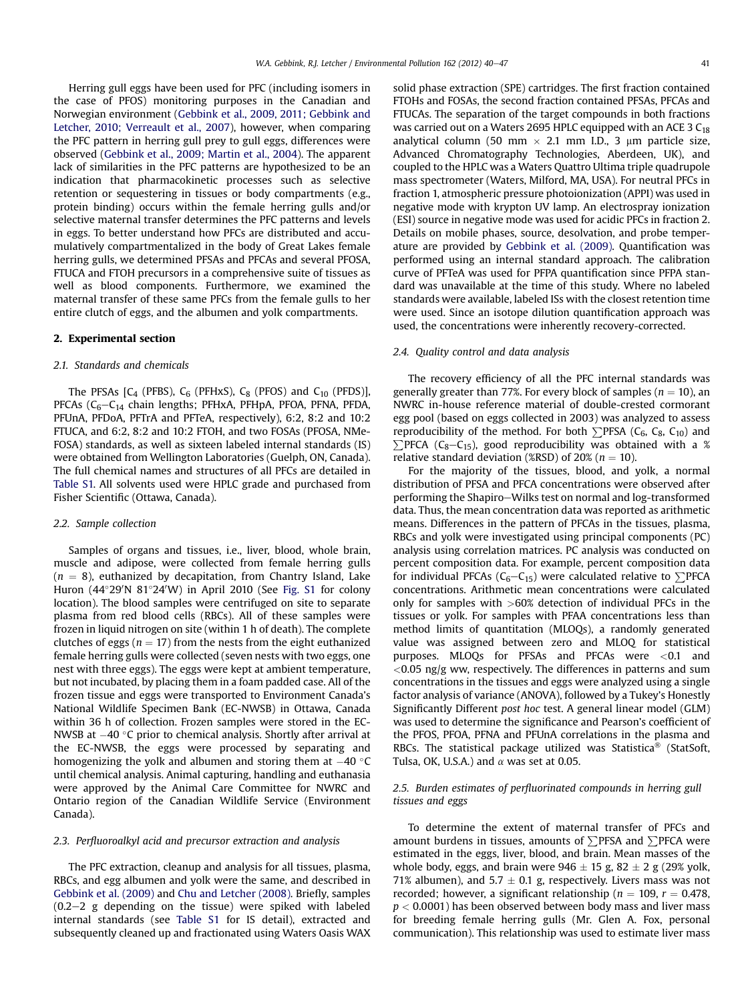<span id="page-1-0"></span>Herring gull eggs have been used for PFC (including isomers in the case of PFOS) monitoring purposes in the Canadian and Norwegian environment [\(Gebbink et al., 2009, 2011; Gebbink and](#page-6-0) [Letcher, 2010; Verreault et al., 2007](#page-6-0)), however, when comparing the PFC pattern in herring gull prey to gull eggs, differences were observed ([Gebbink et al., 2009; Martin et al., 2004\)](#page-6-0). The apparent lack of similarities in the PFC patterns are hypothesized to be an indication that pharmacokinetic processes such as selective retention or sequestering in tissues or body compartments (e.g., protein binding) occurs within the female herring gulls and/or selective maternal transfer determines the PFC patterns and levels in eggs. To better understand how PFCs are distributed and accumulatively compartmentalized in the body of Great Lakes female herring gulls, we determined PFSAs and PFCAs and several PFOSA, FTUCA and FTOH precursors in a comprehensive suite of tissues as well as blood components. Furthermore, we examined the maternal transfer of these same PFCs from the female gulls to her entire clutch of eggs, and the albumen and yolk compartments.

## 2. Experimental section

#### 2.1. Standards and chemicals

The PFSAs  $[C_4$  (PFBS),  $C_6$  (PFHxS),  $C_8$  (PFOS) and  $C_{10}$  (PFDS)], PFCAs ( $C_6-C_{14}$  chain lengths; PFHxA, PFHpA, PFOA, PFNA, PFDA, PFUnA, PFDoA, PFTrA and PFTeA, respectively), 6:2, 8:2 and 10:2 FTUCA, and 6:2, 8:2 and 10:2 FTOH, and two FOSAs (PFOSA, NMe-FOSA) standards, as well as sixteen labeled internal standards (IS) were obtained from Wellington Laboratories (Guelph, ON, Canada). The full chemical names and structures of all PFCs are detailed in Table S1. All solvents used were HPLC grade and purchased from Fisher Scientific (Ottawa, Canada).

## 2.2. Sample collection

Samples of organs and tissues, i.e., liver, blood, whole brain, muscle and adipose, were collected from female herring gulls  $(n = 8)$ , euthanized by decapitation, from Chantry Island, Lake Huron (44°29'N 81°24'W) in April 2010 (See Fig. S1 for colony location). The blood samples were centrifuged on site to separate plasma from red blood cells (RBCs). All of these samples were frozen in liquid nitrogen on site (within 1 h of death). The complete clutches of eggs ( $n = 17$ ) from the nests from the eight euthanized female herring gulls were collected (seven nests with two eggs, one nest with three eggs). The eggs were kept at ambient temperature, but not incubated, by placing them in a foam padded case. All of the frozen tissue and eggs were transported to Environment Canada's National Wildlife Specimen Bank (EC-NWSB) in Ottawa, Canada within 36 h of collection. Frozen samples were stored in the EC-NWSB at  $-40$  °C prior to chemical analysis. Shortly after arrival at the EC-NWSB, the eggs were processed by separating and homogenizing the yolk and albumen and storing them at  $-40$   $\degree$ C until chemical analysis. Animal capturing, handling and euthanasia were approved by the Animal Care Committee for NWRC and Ontario region of the Canadian Wildlife Service (Environment Canada).

#### 2.3. Perfluoroalkyl acid and precursor extraction and analysis

The PFC extraction, cleanup and analysis for all tissues, plasma, RBCs, and egg albumen and yolk were the same, and described in [Gebbink et al. \(2009\)](#page-6-0) and [Chu and Letcher \(2008\)](#page-6-0). Briefly, samples  $(0.2-2)$  g depending on the tissue) were spiked with labeled internal standards (see Table S1 for IS detail), extracted and subsequently cleaned up and fractionated using Waters Oasis WAX solid phase extraction (SPE) cartridges. The first fraction contained FTOHs and FOSAs, the second fraction contained PFSAs, PFCAs and FTUCAs. The separation of the target compounds in both fractions was carried out on a Waters 2695 HPLC equipped with an ACE 3  $C_{18}$ analytical column (50 mm  $\times$  2.1 mm I.D., 3 µm particle size, Advanced Chromatography Technologies, Aberdeen, UK), and coupled to the HPLC was a Waters Quattro Ultima triple quadrupole mass spectrometer (Waters, Milford, MA, USA). For neutral PFCs in fraction 1, atmospheric pressure photoionization (APPI) was used in negative mode with krypton UV lamp. An electrospray ionization (ESI) source in negative mode was used for acidic PFCs in fraction 2. Details on mobile phases, source, desolvation, and probe temperature are provided by [Gebbink et al. \(2009\).](#page-6-0) Quantification was performed using an internal standard approach. The calibration curve of PFTeA was used for PFPA quantification since PFPA standard was unavailable at the time of this study. Where no labeled standards were available, labeled ISs with the closest retention time were used. Since an isotope dilution quantification approach was used, the concentrations were inherently recovery-corrected.

#### 2.4. Quality control and data analysis

The recovery efficiency of all the PFC internal standards was generally greater than 77%. For every block of samples ( $n = 10$ ), an NWRC in-house reference material of double-crested cormorant egg pool (based on eggs collected in 2003) was analyzed to assess reproducibility of the method. For both  $\Sigma$ PFSA (C<sub>6</sub>, C<sub>8</sub>, C<sub>10</sub>) and  $\sum$ PFCA (C<sub>8</sub>-C<sub>15</sub>), good reproducibility was obtained with a % relative standard deviation (%RSD) of 20% ( $n = 10$ ).

For the majority of the tissues, blood, and yolk, a normal distribution of PFSA and PFCA concentrations were observed after performing the Shapiro-Wilks test on normal and log-transformed data. Thus, the mean concentration data was reported as arithmetic means. Differences in the pattern of PFCAs in the tissues, plasma, RBCs and yolk were investigated using principal components (PC) analysis using correlation matrices. PC analysis was conducted on percent composition data. For example, percent composition data for individual PFCAs ( $C_6-C_{15}$ ) were calculated relative to  $\Sigma$ PFCA concentrations. Arithmetic mean concentrations were calculated only for samples with >60% detection of individual PFCs in the tissues or yolk. For samples with PFAA concentrations less than method limits of quantitation (MLOQs), a randomly generated value was assigned between zero and MLOQ for statistical purposes. MLOQs for PFSAs and PFCAs were <0.1 and  $<$ 0.05 ng/g ww, respectively. The differences in patterns and sum concentrations in the tissues and eggs were analyzed using a single factor analysis of variance (ANOVA), followed by a Tukey's Honestly Significantly Different post hoc test. A general linear model (GLM) was used to determine the significance and Pearson's coefficient of the PFOS, PFOA, PFNA and PFUnA correlations in the plasma and RBCs. The statistical package utilized was Statistica<sup>®</sup> (StatSoft, Tulsa, OK, U.S.A.) and  $\alpha$  was set at 0.05.

## 2.5. Burden estimates of perfluorinated compounds in herring gull tissues and eggs

To determine the extent of maternal transfer of PFCs and amount burdens in tissues, amounts of  $\sum$ PFSA and  $\sum$ PFCA were estimated in the eggs, liver, blood, and brain. Mean masses of the whole body, eggs, and brain were  $946 \pm 15$  g,  $82 \pm 2$  g (29% yolk, 71% albumen), and 5.7  $\pm$  0.1 g, respectively. Livers mass was not recorded; however, a significant relationship ( $n = 109$ ,  $r = 0.478$ ,  $p < 0.0001$ ) has been observed between body mass and liver mass for breeding female herring gulls (Mr. Glen A. Fox, personal communication). This relationship was used to estimate liver mass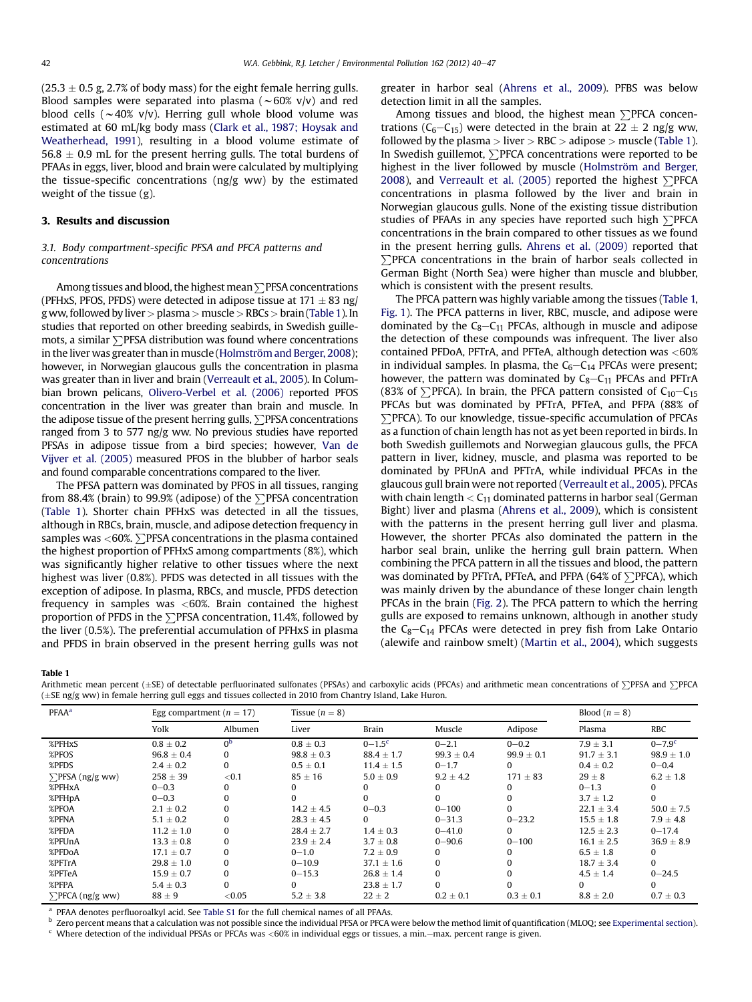<span id="page-2-0"></span> $(25.3 \pm 0.5$  g, 2.7% of body mass) for the eight female herring gulls. Blood samples were separated into plasma ( $\sim$  60% v/v) and red blood cells ( $\sim$ 40% v/v). Herring gull whole blood volume was estimated at 60 mL/kg body mass [\(Clark et al., 1987; Hoysak and](#page-6-0) [Weatherhead, 1991](#page-6-0)), resulting in a blood volume estimate of  $56.8 \pm 0.9$  mL for the present herring gulls. The total burdens of PFAAs in eggs, liver, blood and brain were calculated by multiplying the tissue-specific concentrations (ng/g ww) by the estimated weight of the tissue (g).

## 3. Results and discussion

## 3.1. Body compartment-specific PFSA and PFCA patterns and concentrations

Among tissues and blood, the highest mean  $\sum$ PFSA concentrations (PFHxS, PFOS, PFDS) were detected in adipose tissue at  $171 \pm 83$  ng/ g ww, followed byliver> plasma > muscle> RBCs> brain (Table 1). In studies that reported on other breeding seabirds, in Swedish guillemots, a similar  $\Sigma$ PFSA distribution was found where concentrations in the liver was greater than in muscle ([Holmström and Berger, 2008](#page-6-0)); however, in Norwegian glaucous gulls the concentration in plasma was greater than in liver and brain [\(Verreault et al., 2005](#page-6-0)). In Columbian brown pelicans, [Olivero-Verbel et al. \(2006\)](#page-6-0) reported PFOS concentration in the liver was greater than brain and muscle. In the adipose tissue of the present herring gulls,  $\Sigma$ PFSA concentrations ranged from 3 to 577 ng/g ww. No previous studies have reported PFSAs in adipose tissue from a bird species; however, [Van de](#page-6-0) [Vijver et al. \(2005\)](#page-6-0) measured PFOS in the blubber of harbor seals and found comparable concentrations compared to the liver.

The PFSA pattern was dominated by PFOS in all tissues, ranging from 88.4% (brain) to 99.9% (adipose) of the  $\Sigma$ PFSA concentration (Table 1). Shorter chain PFHxS was detected in all the tissues, although in RBCs, brain, muscle, and adipose detection frequency in samples was  $<$  60%.  $\sum$  PFSA concentrations in the plasma contained the highest proportion of PFHxS among compartments (8%), which was significantly higher relative to other tissues where the next highest was liver (0.8%). PFDS was detected in all tissues with the exception of adipose. In plasma, RBCs, and muscle, PFDS detection frequency in samples was  $<60\%$ . Brain contained the highest proportion of PFDS in the  $\Sigma$ PFSA concentration, 11.4%, followed by the liver (0.5%). The preferential accumulation of PFHxS in plasma and PFDS in brain observed in the present herring gulls was not greater in harbor seal ([Ahrens et al., 2009](#page-6-0)). PFBS was below detection limit in all the samples.

Among tissues and blood, the highest mean  $\Sigma$ PFCA concentrations ( $C_6-C_{15}$ ) were detected in the brain at 22  $\pm$  2 ng/g ww, followed by the plasma  $>$  liver  $>$  RBC  $>$  adipose  $>$  muscle (Table 1). In Swedish guillemot,  $\Sigma$ PFCA concentrations were reported to be highest in the liver followed by muscle ([Holmström and Berger,](#page-6-0) [2008](#page-6-0)), and [Verreault et al. \(2005\)](#page-6-0) reported the highest  $\Sigma$ PFCA concentrations in plasma followed by the liver and brain in Norwegian glaucous gulls. None of the existing tissue distribution studies of PFAAs in any species have reported such high  $\Sigma$ PFCA concentrations in the brain compared to other tissues as we found in the present herring gulls. [Ahrens et al. \(2009\)](#page-6-0) reported that  $\Sigma$ PFCA concentrations in the brain of harbor seals collected in German Bight (North Sea) were higher than muscle and blubber, which is consistent with the present results.

The PFCA pattern was highly variable among the tissues (Table 1, [Fig. 1\)](#page-3-0). The PFCA patterns in liver, RBC, muscle, and adipose were dominated by the  $C_8 - C_{11}$  PFCAs, although in muscle and adipose the detection of these compounds was infrequent. The liver also contained PFDoA, PFTrA, and PFTeA, although detection was <60% in individual samples. In plasma, the  $C_6-C_{14}$  PFCAs were present; however, the pattern was dominated by  $C_8 - C_{11}$  PFCAs and PFTrA (83% of  $\Sigma$ PFCA). In brain, the PFCA pattern consisted of C<sub>10</sub>-C<sub>15</sub> PFCAs but was dominated by PFTrA, PFTeA, and PFPA (88% of PPFCA). To our knowledge, tissue-specific accumulation of PFCAs as a function of chain length has not as yet been reported in birds. In both Swedish guillemots and Norwegian glaucous gulls, the PFCA pattern in liver, kidney, muscle, and plasma was reported to be dominated by PFUnA and PFTrA, while individual PFCAs in the glaucous gull brain were not reported [\(Verreault et al., 2005](#page-6-0)). PFCAs with chain length  $<$  C<sub>11</sub> dominated patterns in harbor seal (German Bight) liver and plasma ([Ahrens et al., 2009\)](#page-6-0), which is consistent with the patterns in the present herring gull liver and plasma. However, the shorter PFCAs also dominated the pattern in the harbor seal brain, unlike the herring gull brain pattern. When combining the PFCA pattern in all the tissues and blood, the pattern was dominated by PFTrA, PFTeA, and PFPA (64% of  $\Sigma$ PFCA), which was mainly driven by the abundance of these longer chain length PFCAs in the brain [\(Fig. 2\)](#page-3-0). The PFCA pattern to which the herring gulls are exposed to remains unknown, although in another study the  $C_8 - C_{14}$  PFCAs were detected in prey fish from Lake Ontario (alewife and rainbow smelt) ([Martin et al., 2004](#page-6-0)), which suggests

Table 1

Arithmetic mean percent  $(\pm SE)$  of detectable perfluorinated sulfonates (PFSAs) and carboxylic acids (PFCAs) and arithmetic mean concentrations of  $\Sigma$ PFSA and  $\Sigma$ PFCA  $(\pm$ SE ng/g ww) in female herring gull eggs and tissues collected in 2010 from Chantry Island, Lake Huron.

| <b>PFAA<sup>a</sup></b> | Egg compartment ( $n = 17$ ) |                | Tissue $(n = 8)$ |                        |                |                | Blood $(n = 8)$ |                   |
|-------------------------|------------------------------|----------------|------------------|------------------------|----------------|----------------|-----------------|-------------------|
|                         | Yolk                         | Albumen        | Liver            | <b>Brain</b>           | Muscle         | Adipose        | Plasma          | RBC               |
| %PFHxS                  | $0.8 \pm 0.2$                | 0 <sub>p</sub> | $0.8 \pm 0.3$    | $0 - 1.5$ <sup>c</sup> | $0 - 2.1$      | $0 - 0.2$      | $7.9 \pm 3.1$   | $0 - 7.9^{\circ}$ |
| %PFOS                   | $96.8 \pm 0.4$               | 0              | $98.8 \pm 0.3$   | $88.4 \pm 1.7$         | $99.3 \pm 0.4$ | $99.9 \pm 0.1$ | $91.7 \pm 3.1$  | $98.9 \pm 1.0$    |
| %PFDS                   | $2.4 \pm 0.2$                | 0              | $0.5 \pm 0.1$    | $11.4 \pm 1.5$         | $0 - 1.7$      | 0              | $0.4 \pm 0.2$   | $0 - 0.4$         |
| $\sum$ PFSA (ng/g ww)   | $258 \pm 39$                 | ${<}0.1$       | $85 \pm 16$      | $5.0 \pm 0.9$          | $9.2 \pm 4.2$  | $171 \pm 83$   | $29 \pm 8$      | $6.2 \pm 1.8$     |
| %PFHxA                  | $0 - 0.3$                    |                |                  |                        |                | 0              | $0 - 1.3$       | $\Omega$          |
| %PFHpA                  | $0 - 0.3$                    | 0              | 0                |                        |                | 0              | $3.7 \pm 1.2$   | $\Omega$          |
| %PFOA                   | $2.1 \pm 0.2$                | 0              | $14.2 \pm 4.5$   | $0 - 0.3$              | $0 - 100$      | $\Omega$       | $22.1 \pm 3.4$  | $50.0 \pm 7.5$    |
| %PFNA                   | $5.1 \pm 0.2$                | 0              | $28.3 \pm 4.5$   | 0                      | $0 - 31.3$     | $0 - 23.2$     | $15.5 \pm 1.8$  | $7.9 \pm 4.8$     |
| %PFDA                   | $11.2 \pm 1.0$               | $\Omega$       | $28.4 \pm 2.7$   | $1.4 \pm 0.3$          | $0 - 41.0$     | 0              | $12.5 \pm 2.3$  | $0 - 17.4$        |
| %PFUnA                  | $13.3 \pm 0.8$               | $\Omega$       | $23.9 \pm 2.4$   | $3.7 \pm 0.8$          | $0 - 90.6$     | $0 - 100$      | $16.1 \pm 2.5$  | $36.9 \pm 8.9$    |
| %PFDoA                  | $17.1 \pm 0.7$               | 0              | $0 - 1.0$        | $7.2 \pm 0.9$          | 0              | $\Omega$       | $6.5 \pm 1.8$   | $\Omega$          |
| %PFTrA                  | $29.8 \pm 1.0$               | 0              | $0 - 10.9$       | $37.1 \pm 1.6$         | 0              | $\Omega$       | $18.7 \pm 3.4$  | $\Omega$          |
| %PFTeA                  | $15.9 \pm 0.7$               | $\Omega$       | $0 - 15.3$       | $26.8 \pm 1.4$         |                | 0              | $4.5 \pm 1.4$   | $0 - 24.5$        |
| %PFPA                   | $5.4 \pm 0.3$                | 0              | 0                | $23.8 \pm 1.7$         |                |                | 0               | $\Omega$          |
| $\sum$ PFCA (ng/g ww)   | $88 \pm 9$                   | < 0.05         | $5.2 \pm 3.8$    | $22 \pm 2$             | $0.2 \pm 0.1$  | $0.3 \pm 0.1$  | $8.8 \pm 2.0$   | $0.7 \pm 0.3$     |

<sup>a</sup> PFAA denotes perfluoroalkyl acid. See Table S1 for the full chemical names of all PFAAs.

<sup>b</sup> Zero percent means that a calculation was not possible since the individual PFSA or PFCA were below the method limit of quantification (MLOQ; see [Experimental section\)](#page-1-0).  $c$  Where detection of the individual PFSAs or PFCAs was <60% in individual eggs or tissues, a min.-max. percent range is given.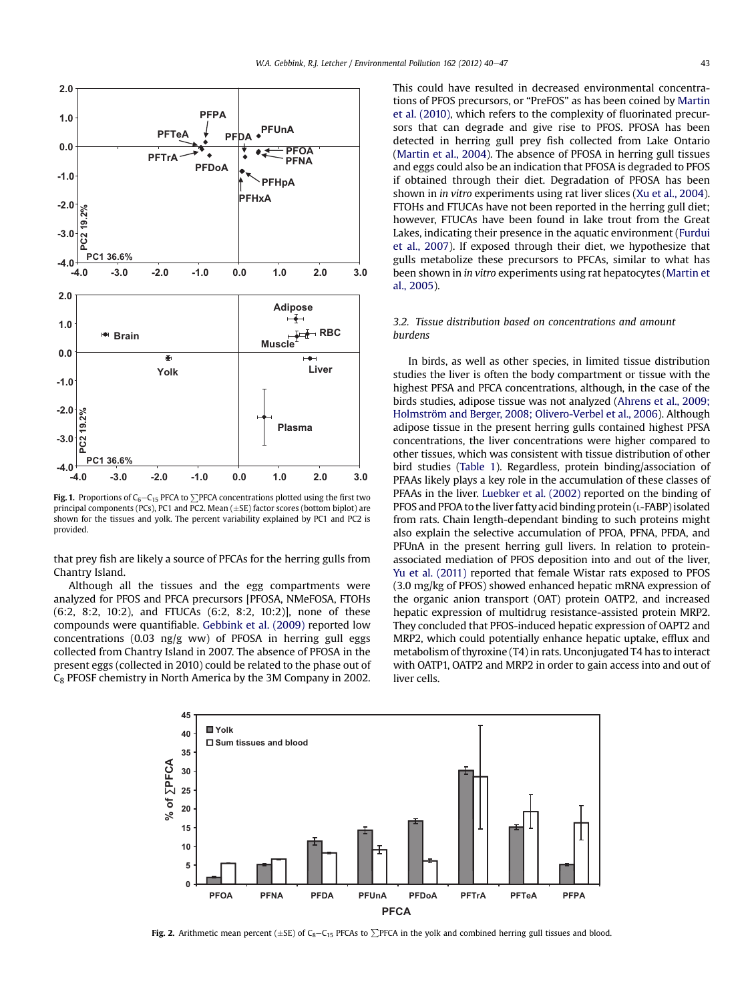<span id="page-3-0"></span>

Fig. 1. Proportions of  $C_6-C_{15}$  PFCA to  $\sum$ PFCA concentrations plotted using the first two principal components (PCs), PC1 and PC2. Mean ( $\pm$ SE) factor scores (bottom biplot) are shown for the tissues and yolk. The percent variability explained by PC1 and PC2 is provided.

that prey fish are likely a source of PFCAs for the herring gulls from Chantry Island.

Although all the tissues and the egg compartments were analyzed for PFOS and PFCA precursors [PFOSA, NMeFOSA, FTOHs (6:2, 8:2, 10:2), and FTUCAs (6:2, 8:2, 10:2)], none of these compounds were quantifiable. [Gebbink et al. \(2009\)](#page-6-0) reported low concentrations (0.03 ng/g ww) of PFOSA in herring gull eggs collected from Chantry Island in 2007. The absence of PFOSA in the present eggs (collected in 2010) could be related to the phase out of C8 PFOSF chemistry in North America by the 3M Company in 2002. This could have resulted in decreased environmental concentrations of PFOS precursors, or "PreFOS" as has been coined by [Martin](#page-6-0) [et al. \(2010\),](#page-6-0) which refers to the complexity of fluorinated precursors that can degrade and give rise to PFOS. PFOSA has been detected in herring gull prey fish collected from Lake Ontario ([Martin et al., 2004](#page-6-0)). The absence of PFOSA in herring gull tissues and eggs could also be an indication that PFOSA is degraded to PFOS if obtained through their diet. Degradation of PFOSA has been shown in in vitro experiments using rat liver slices [\(Xu et al., 2004\)](#page-7-0). FTOHs and FTUCAs have not been reported in the herring gull diet; however, FTUCAs have been found in lake trout from the Great Lakes, indicating their presence in the aquatic environment [\(Furdui](#page-6-0) [et al., 2007\)](#page-6-0). If exposed through their diet, we hypothesize that gulls metabolize these precursors to PFCAs, similar to what has been shown in in vitro experiments using rat hepatocytes ([Martin et](#page-6-0) [al., 2005\)](#page-6-0).

## 3.2. Tissue distribution based on concentrations and amount burdens

In birds, as well as other species, in limited tissue distribution studies the liver is often the body compartment or tissue with the highest PFSA and PFCA concentrations, although, in the case of the birds studies, adipose tissue was not analyzed [\(Ahrens et al., 2009;](#page-6-0) [Holmström and Berger, 2008; Olivero-Verbel et al., 2006](#page-6-0)). Although adipose tissue in the present herring gulls contained highest PFSA concentrations, the liver concentrations were higher compared to other tissues, which was consistent with tissue distribution of other bird studies [\(Table 1\)](#page-2-0). Regardless, protein binding/association of PFAAs likely plays a key role in the accumulation of these classes of PFAAs in the liver. [Luebker et al. \(2002\)](#page-6-0) reported on the binding of PFOS and PFOA to the liver fatty acid binding protein (L-FABP) isolated from rats. Chain length-dependant binding to such proteins might also explain the selective accumulation of PFOA, PFNA, PFDA, and PFUnA in the present herring gull livers. In relation to proteinassociated mediation of PFOS deposition into and out of the liver, [Yu et al. \(2011\)](#page-7-0) reported that female Wistar rats exposed to PFOS (3.0 mg/kg of PFOS) showed enhanced hepatic mRNA expression of the organic anion transport (OAT) protein OATP2, and increased hepatic expression of multidrug resistance-assisted protein MRP2. They concluded that PFOS-induced hepatic expression of OAPT2 and MRP2, which could potentially enhance hepatic uptake, efflux and metabolism of thyroxine (T4) in rats. Unconjugated T4 has to interact with OATP1, OATP2 and MRP2 in order to gain access into and out of liver cells.



Fig. 2. Arithmetic mean percent ( $\pm$ SE) of C<sub>8</sub>-C<sub>15</sub> PFCAs to  $\sum$ PFCA in the yolk and combined herring gull tissues and blood.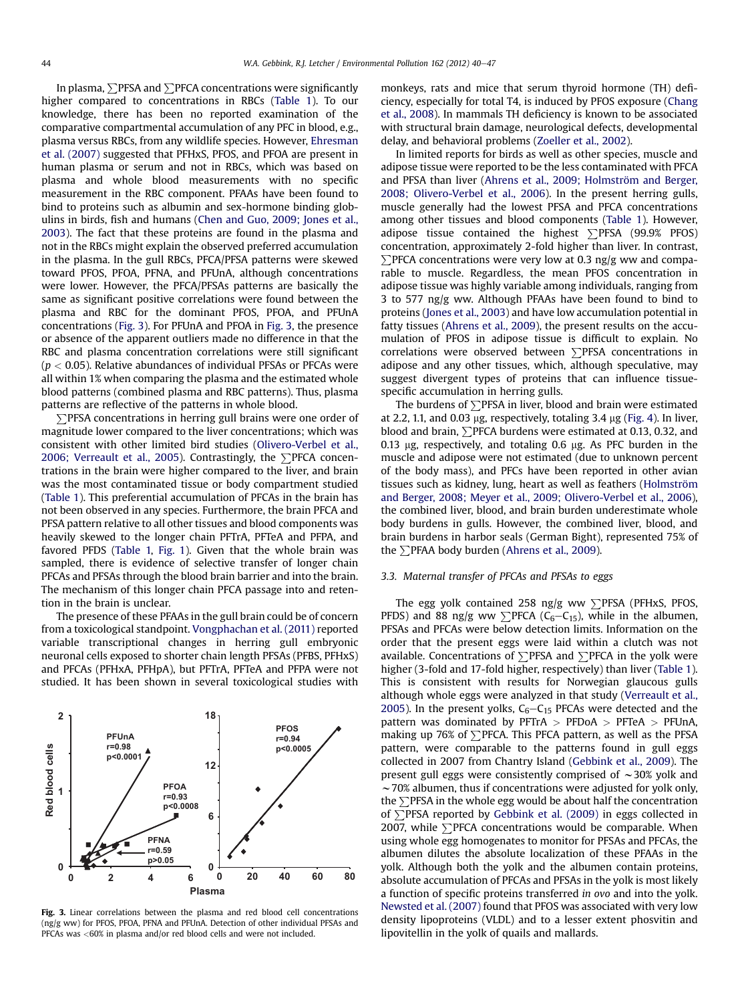In plasma,  $\sum$ PFSA and  $\sum$ PFCA concentrations were significantly higher compared to concentrations in RBCs ([Table 1](#page-2-0)). To our knowledge, there has been no reported examination of the comparative compartmental accumulation of any PFC in blood, e.g., plasma versus RBCs, from any wildlife species. However, [Ehresman](#page-6-0) [et al. \(2007\)](#page-6-0) suggested that PFHxS, PFOS, and PFOA are present in human plasma or serum and not in RBCs, which was based on plasma and whole blood measurements with no specific measurement in the RBC component. PFAAs have been found to bind to proteins such as albumin and sex-hormone binding globulins in birds, fish and humans ([Chen and Guo, 2009; Jones et al.,](#page-6-0) [2003](#page-6-0)). The fact that these proteins are found in the plasma and not in the RBCs might explain the observed preferred accumulation in the plasma. In the gull RBCs, PFCA/PFSA patterns were skewed toward PFOS, PFOA, PFNA, and PFUnA, although concentrations were lower. However, the PFCA/PFSAs patterns are basically the same as significant positive correlations were found between the plasma and RBC for the dominant PFOS, PFOA, and PFUnA concentrations (Fig. 3). For PFUnA and PFOA in Fig. 3, the presence or absence of the apparent outliers made no difference in that the RBC and plasma concentration correlations were still significant  $(p < 0.05)$ . Relative abundances of individual PFSAs or PFCAs were all within 1% when comparing the plasma and the estimated whole blood patterns (combined plasma and RBC patterns). Thus, plasma patterns are reflective of the patterns in whole blood.

∑PFSA concentrations in herring gull brains were one order of magnitude lower compared to the liver concentrations; which was consistent with other limited bird studies ([Olivero-Verbel et al.,](#page-6-0) [2006; Verreault et al., 2005\)](#page-6-0). Contrastingly, the  $\Sigma$ PFCA concentrations in the brain were higher compared to the liver, and brain was the most contaminated tissue or body compartment studied ([Table 1\)](#page-2-0). This preferential accumulation of PFCAs in the brain has not been observed in any species. Furthermore, the brain PFCA and PFSA pattern relative to all other tissues and blood components was heavily skewed to the longer chain PFTrA, PFTeA and PFPA, and favored PFDS [\(Table 1,](#page-2-0) [Fig. 1\)](#page-3-0). Given that the whole brain was sampled, there is evidence of selective transfer of longer chain PFCAs and PFSAs through the blood brain barrier and into the brain. The mechanism of this longer chain PFCA passage into and retention in the brain is unclear.

The presence of these PFAAs in the gull brain could be of concern from a toxicological standpoint. [Vongphachan et al. \(2011\)](#page-7-0) reported variable transcriptional changes in herring gull embryonic neuronal cells exposed to shorter chain length PFSAs (PFBS, PFHxS) and PFCAs (PFHxA, PFHpA), but PFTrA, PFTeA and PFPA were not studied. It has been shown in several toxicological studies with



Fig. 3. Linear correlations between the plasma and red blood cell concentrations (ng/g ww) for PFOS, PFOA, PFNA and PFUnA. Detection of other individual PFSAs and PFCAs was <60% in plasma and/or red blood cells and were not included.

monkeys, rats and mice that serum thyroid hormone (TH) deficiency, especially for total T4, is induced by PFOS exposure [\(Chang](#page-6-0) [et al., 2008\)](#page-6-0). In mammals TH deficiency is known to be associated with structural brain damage, neurological defects, developmental delay, and behavioral problems ([Zoeller et al., 2002](#page-7-0)).

In limited reports for birds as well as other species, muscle and adipose tissue were reported to be the less contaminated with PFCA and PFSA than liver [\(Ahrens et al., 2009; Holmström and Berger,](#page-6-0) [2008; Olivero-Verbel et al., 2006\)](#page-6-0). In the present herring gulls, muscle generally had the lowest PFSA and PFCA concentrations among other tissues and blood components ([Table 1\)](#page-2-0). However, adipose tissue contained the highest  $\sum$ PFSA (99.9% PFOS) concentration, approximately 2-fold higher than liver. In contrast,  $\sum$ PFCA concentrations were very low at 0.3 ng/g ww and comparable to muscle. Regardless, the mean PFOS concentration in adipose tissue was highly variable among individuals, ranging from 3 to 577 ng/g ww. Although PFAAs have been found to bind to proteins ([Jones et al., 2003\)](#page-6-0) and have low accumulation potential in fatty tissues ([Ahrens et al., 2009](#page-6-0)), the present results on the accumulation of PFOS in adipose tissue is difficult to explain. No correlations were observed between  $\sum$ PFSA concentrations in adipose and any other tissues, which, although speculative, may suggest divergent types of proteins that can influence tissuespecific accumulation in herring gulls.

The burdens of  $\Sigma$ PFSA in liver, blood and brain were estimated at 2.2, 1.1, and 0.03 µg, respectively, totaling 3.4 µg [\(Fig. 4](#page-5-0)). In liver, blood and brain,  $\Sigma$ PFCA burdens were estimated at 0.13, 0.32, and 0.13  $\mu$ g, respectively, and totaling 0.6  $\mu$ g. As PFC burden in the muscle and adipose were not estimated (due to unknown percent of the body mass), and PFCs have been reported in other avian tissues such as kidney, lung, heart as well as feathers ([Holmström](#page-6-0) [and Berger, 2008; Meyer et al., 2009; Olivero-Verbel et al., 2006\)](#page-6-0), the combined liver, blood, and brain burden underestimate whole body burdens in gulls. However, the combined liver, blood, and brain burdens in harbor seals (German Bight), represented 75% of the  $\Sigma$ PFAA body burden [\(Ahrens et al., 2009](#page-6-0)).

## 3.3. Maternal transfer of PFCAs and PFSAs to eggs

The egg yolk contained 258 ng/g ww  $\sum$ PFSA (PFHxS, PFOS, PFDS) and 88 ng/g ww  $\sum$ PFCA (C<sub>6</sub>-C<sub>15</sub>), while in the albumen, PFSAs and PFCAs were below detection limits. Information on the order that the present eggs were laid within a clutch was not available. Concentrations of  $\Sigma$ PFSA and  $\Sigma$ PFCA in the yolk were higher (3-fold and 17-fold higher, respectively) than liver [\(Table 1\)](#page-2-0). This is consistent with results for Norwegian glaucous gulls although whole eggs were analyzed in that study ([Verreault et al.,](#page-6-0) [2005](#page-6-0)). In the present yolks,  $C_6-C_{15}$  PFCAs were detected and the pattern was dominated by  $PFTrA > PFDoA > PFTeA > PFUnA$ , making up 76% of  $\Sigma$ PFCA. This PFCA pattern, as well as the PFSA pattern, were comparable to the patterns found in gull eggs collected in 2007 from Chantry Island ([Gebbink et al., 2009](#page-6-0)). The present gull eggs were consistently comprised of  $\sim$ 30% yolk and  $\sim$  70% albumen, thus if concentrations were adjusted for yolk only, the  $\Sigma$ PFSA in the whole egg would be about half the concentration of  $\Sigma$ PFSA reported by [Gebbink et al. \(2009\)](#page-6-0) in eggs collected in 2007, while  $\sum$ PFCA concentrations would be comparable. When using whole egg homogenates to monitor for PFSAs and PFCAs, the albumen dilutes the absolute localization of these PFAAs in the yolk. Although both the yolk and the albumen contain proteins, absolute accumulation of PFCAs and PFSAs in the yolk is most likely a function of specific proteins transferred in ovo and into the yolk. [Newsted et al. \(2007\)](#page-6-0) found that PFOS was associated with very low density lipoproteins (VLDL) and to a lesser extent phosvitin and lipovitellin in the yolk of quails and mallards.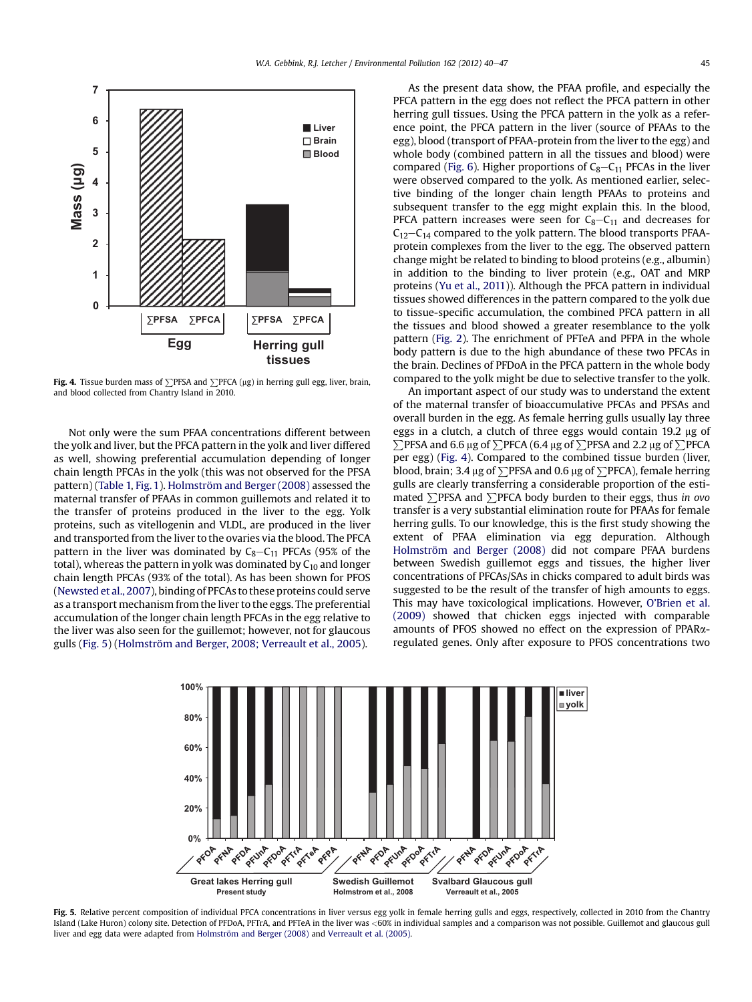<span id="page-5-0"></span>

Fig. 4. Tissue burden mass of  $\Sigma$ PFSA and  $\Sigma$ PFCA (µg) in herring gull egg, liver, brain, and blood collected from Chantry Island in 2010.

Not only were the sum PFAA concentrations different between the yolk and liver, but the PFCA pattern in the yolk and liver differed as well, showing preferential accumulation depending of longer chain length PFCAs in the yolk (this was not observed for the PFSA pattern) [\(Table 1,](#page-2-0) [Fig. 1](#page-3-0)). [Holmström and Berger \(2008\)](#page-6-0) assessed the maternal transfer of PFAAs in common guillemots and related it to the transfer of proteins produced in the liver to the egg. Yolk proteins, such as vitellogenin and VLDL, are produced in the liver and transported from the liver to the ovaries via the blood. The PFCA pattern in the liver was dominated by  $C_8 - C_{11}$  PFCAs (95% of the total), whereas the pattern in yolk was dominated by  $C_{10}$  and longer chain length PFCAs (93% of the total). As has been shown for PFOS ([Newsted et al., 2007](#page-6-0)), binding of PFCAs to these proteins could serve as a transport mechanism from the liver to the eggs. The preferential accumulation of the longer chain length PFCAs in the egg relative to the liver was also seen for the guillemot; however, not for glaucous gulls (Fig. 5) ([Holmström and Berger, 2008; Verreault et al., 2005](#page-6-0)).

As the present data show, the PFAA profile, and especially the PFCA pattern in the egg does not reflect the PFCA pattern in other herring gull tissues. Using the PFCA pattern in the yolk as a reference point, the PFCA pattern in the liver (source of PFAAs to the egg), blood (transport of PFAA-protein from the liver to the egg) and whole body (combined pattern in all the tissues and blood) were compared ([Fig. 6\)](#page-6-0). Higher proportions of  $C_8-C_{11}$  PFCAs in the liver were observed compared to the yolk. As mentioned earlier, selective binding of the longer chain length PFAAs to proteins and subsequent transfer to the egg might explain this. In the blood, PFCA pattern increases were seen for  $C_8 - C_{11}$  and decreases for  $C_{12}-C_{14}$  compared to the yolk pattern. The blood transports PFAAprotein complexes from the liver to the egg. The observed pattern change might be related to binding to blood proteins (e.g., albumin) in addition to the binding to liver protein (e.g., OAT and MRP proteins [\(Yu et al., 2011\)](#page-7-0)). Although the PFCA pattern in individual tissues showed differences in the pattern compared to the yolk due to tissue-specific accumulation, the combined PFCA pattern in all the tissues and blood showed a greater resemblance to the yolk pattern [\(Fig. 2](#page-3-0)). The enrichment of PFTeA and PFPA in the whole body pattern is due to the high abundance of these two PFCAs in the brain. Declines of PFDoA in the PFCA pattern in the whole body compared to the yolk might be due to selective transfer to the yolk.

An important aspect of our study was to understand the extent of the maternal transfer of bioaccumulative PFCAs and PFSAs and overall burden in the egg. As female herring gulls usually lay three eggs in a clutch, a clutch of three eggs would contain 19.2 µg of  $\sum$ PFSA and 6.6 µg of  $\sum$ PFCA (6.4 µg of  $\sum$ PFSA and 2.2 µg of  $\sum$ PFCA per egg) (Fig. 4). Compared to the combined tissue burden (liver, blood, brain; 3.4  $\mu$ g of  $\Sigma$ PFSA and 0.6  $\mu$ g of  $\Sigma$ PFCA), female herring gulls are clearly transferring a considerable proportion of the estimated  $\Sigma$ PFSA and  $\Sigma$ PFCA body burden to their eggs, thus in ovo transfer is a very substantial elimination route for PFAAs for female herring gulls. To our knowledge, this is the first study showing the extent of PFAA elimination via egg depuration. Although [Holmström and Berger \(2008\)](#page-6-0) did not compare PFAA burdens between Swedish guillemot eggs and tissues, the higher liver concentrations of PFCAs/SAs in chicks compared to adult birds was suggested to be the result of the transfer of high amounts to eggs. This may have toxicological implications. However, O'[Brien et al.](#page-6-0) [\(2009\)](#page-6-0) showed that chicken eggs injected with comparable amounts of PFOS showed no effect on the expression of PPARaregulated genes. Only after exposure to PFOS concentrations two



Fig. 5. Relative percent composition of individual PFCA concentrations in liver versus egg yolk in female herring gulls and eggs, respectively, collected in 2010 from the Chantry Island (Lake Huron) colony site. Detection of PFDoA, PFTrA, and PFTeA in the liver was <60% in individual samples and a comparison was not possible. Guillemot and glaucous gull liver and egg data were adapted from [Holmström and Berger \(2008\)](#page-6-0) and [Verreault et al. \(2005\)](#page-6-0).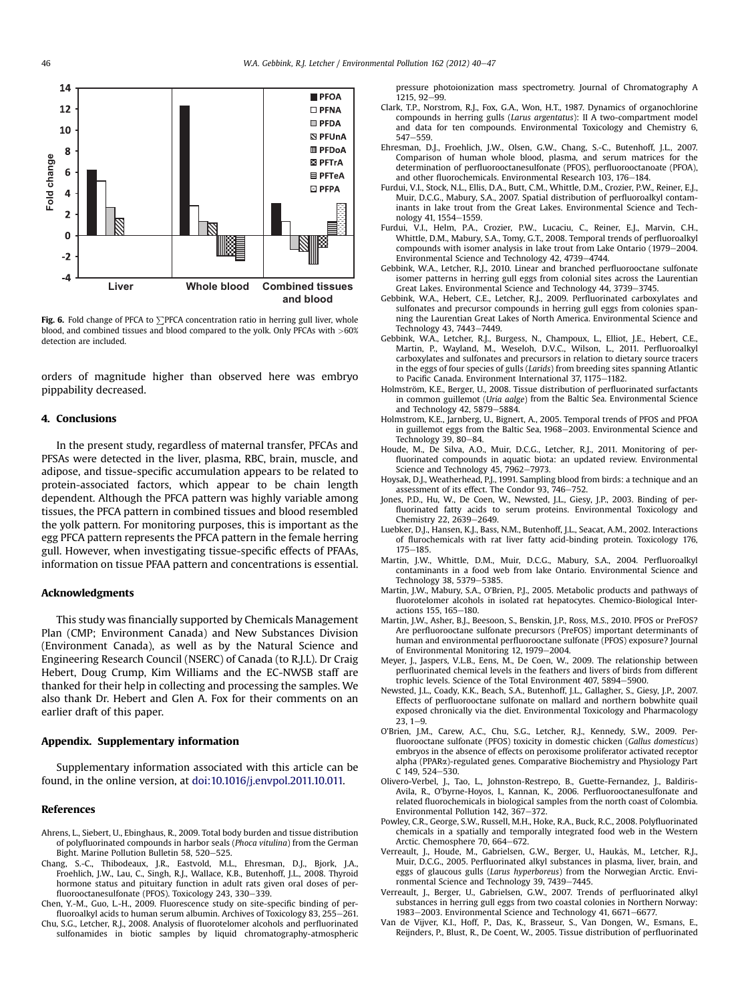<span id="page-6-0"></span>

Fig. 6. Fold change of PFCA to  $\Sigma$ PFCA concentration ratio in herring gull liver, whole blood, and combined tissues and blood compared to the yolk. Only PFCAs with >60% detection are included.

orders of magnitude higher than observed here was embryo pippability decreased.

#### 4. Conclusions

In the present study, regardless of maternal transfer, PFCAs and PFSAs were detected in the liver, plasma, RBC, brain, muscle, and adipose, and tissue-specific accumulation appears to be related to protein-associated factors, which appear to be chain length dependent. Although the PFCA pattern was highly variable among tissues, the PFCA pattern in combined tissues and blood resembled the yolk pattern. For monitoring purposes, this is important as the egg PFCA pattern represents the PFCA pattern in the female herring gull. However, when investigating tissue-specific effects of PFAAs, information on tissue PFAA pattern and concentrations is essential.

#### Acknowledgments

This study was financially supported by Chemicals Management Plan (CMP; Environment Canada) and New Substances Division (Environment Canada), as well as by the Natural Science and Engineering Research Council (NSERC) of Canada (to R.J.L). Dr Craig Hebert, Doug Crump, Kim Williams and the EC-NWSB staff are thanked for their help in collecting and processing the samples. We also thank Dr. Hebert and Glen A. Fox for their comments on an earlier draft of this paper.

## Appendix. Supplementary information

Supplementary information associated with this article can be found, in the online version, at [doi:10.1016/j.envpol.2011.10.011.](http://dx.doi.org/10.1016/j.envpol.2011.10.011)

## References

- Ahrens, L., Siebert, U., Ebinghaus, R., 2009. Total body burden and tissue distribution of polyfluorinated compounds in harbor seals (Phoca vitulina) from the German Bight. Marine Pollution Bulletin 58, 520-525.
- Chang, S.-C., Thibodeaux, J.R., Eastvold, M.L., Ehresman, D.J., Bjork, J.A., Froehlich, J.W., Lau, C., Singh, R.J., Wallace, K.B., Butenhoff, J.L., 2008. Thyroid hormone status and pituitary function in adult rats given oral doses of perfluorooctanesulfonate (PFOS). Toxicology 243, 330-339.
- Chen, Y.-M., Guo, L.-H., 2009. Fluorescence study on site-specific binding of perfluoroalkyl acids to human serum albumin. Archives of Toxicology 83, 255-261.
- Chu, S.G., Letcher, R.J., 2008. Analysis of fluorotelomer alcohols and perfluorinated sulfonamides in biotic samples by liquid chromatography-atmospheric

pressure photoionization mass spectrometry. Journal of Chromatography A  $1215$ , 92-99

- Clark, T.P., Norstrom, R.J., Fox, G.A., Won, H.T., 1987. Dynamics of organochlorine compounds in herring gulls (Larus argentatus): II A two-compartment model and data for ten compounds. Environmental Toxicology and Chemistry 6,  $547 - 559.$
- Ehresman, D.J., Froehlich, J.W., Olsen, G.W., Chang, S.-C., Butenhoff, J.L., 2007. Comparison of human whole blood, plasma, and serum matrices for the determination of perfluorooctanesulfonate (PFOS), perfluorooctanoate (PFOA), and other fluorochemicals. Environmental Research  $103$ ,  $176-184$ .
- Furdui, V.I., Stock, N.L., Ellis, D.A., Butt, C.M., Whittle, D.M., Crozier, P.W., Reiner, E.J., Muir, D.C.G., Mabury, S.A., 2007. Spatial distribution of perfluoroalkyl contaminants in lake trout from the Great Lakes. Environmental Science and Technology 41, 1554-1559.
- Furdui, V.I., Helm, P.A., Crozier, P.W., Lucaciu, C., Reiner, E.J., Marvin, C.H., Whittle, D.M., Mabury, S.A., Tomy, G.T., 2008. Temporal trends of perfluoroalkyl compounds with isomer analysis in lake trout from Lake Ontario (1979–2004) Environmental Science and Technology 42, 4739-4744.
- Gebbink, W.A., Letcher, R.J., 2010. Linear and branched perfluorooctane sulfonate isomer patterns in herring gull eggs from colonial sites across the Laurentian Great Lakes. Environmental Science and Technology 44, 3739-3745.
- Gebbink, W.A., Hebert, C.E., Letcher, R.J., 2009. Perfluorinated carboxylates and sulfonates and precursor compounds in herring gull eggs from colonies spanning the Laurentian Great Lakes of North America. Environmental Science and Technology 43, 7443-7449.
- Gebbink, W.A., Letcher, R.J., Burgess, N., Champoux, L., Elliot, J.E., Hebert, C.E., Martin, P., Wayland, M., Weseloh, D.V.C., Wilson, L., 2011. Perfluoroalkyl carboxylates and sulfonates and precursors in relation to dietary source tracers in the eggs of four species of gulls (Larids) from breeding sites spanning Atlantic to Pacific Canada. Environment International 37, 1175-1182.
- Holmström, K.E., Berger, U., 2008. Tissue distribution of perfluorinated surfactants in common guillemot (Uria aalge) from the Baltic Sea. Environmental Science and Technology 42, 5879-5884.
- Holmstrom, K.E., Jarnberg, U., Bignert, A., 2005. Temporal trends of PFOS and PFOA in guillemot eggs from the Baltic Sea, 1968-2003. Environmental Science and Technology 39, 80-84.
- Houde, M., De Silva, A.O., Muir, D.C.G., Letcher, R.J., 2011. Monitoring of perfluorinated compounds in aquatic biota: an updated review. Environmental Science and Technology 45, 7962-7973.
- Hoysak, D.J., Weatherhead, P.J., 1991. Sampling blood from birds: a technique and an assessment of its effect. The Condor 93, 746-752.
- Jones, P.D., Hu, W., De Coen, W., Newsted, J.L., Giesy, J.P., 2003. Binding of perfluorinated fatty acids to serum proteins. Environmental Toxicology and Chemistry 22, 2639-2649.
- Luebker, D.J., Hansen, K.J., Bass, N.M., Butenhoff, J.L., Seacat, A.M., 2002. Interactions of flurochemicals with rat liver fatty acid-binding protein. Toxicology 176,  $175 - 185.$
- Martin, J.W., Whittle, D.M., Muir, D.C.G., Mabury, S.A., 2004. Perfluoroalkyl contaminants in a food web from lake Ontario. Environmental Science and Technology 38, 5379-5385.
- Martin, J.W., Mabury, S.A., O'Brien, P.J., 2005. Metabolic products and pathways of fluorotelomer alcohols in isolated rat hepatocytes. Chemico-Biological Interactions 155, 165-180.
- Martin, J.W., Asher, B.J., Beesoon, S., Benskin, J.P., Ross, M.S., 2010. PFOS or PreFOS? Are perfluorooctane sulfonate precursors (PreFOS) important determinants of human and environmental perfluorooctane sulfonate (PFOS) exposure? Journal of Environmental Monitoring 12, 1979-2004.
- Meyer, J., Jaspers, V.L.B., Eens, M., De Coen, W., 2009. The relationship between perfluorinated chemical levels in the feathers and livers of birds from different trophic levels. Science of the Total Environment 407, 5894-5900.
- Newsted, J.L., Coady, K.K., Beach, S.A., Butenhoff, J.L., Gallagher, S., Giesy, J.P., 2007. Effects of perfluorooctane sulfonate on mallard and northern bobwhite quail exposed chronically via the diet. Environmental Toxicology and Pharmacology  $23, 1 - 9$
- O'Brien, J.M., Carew, A.C., Chu, S.G., Letcher, R.J., Kennedy, S.W., 2009. Perfluorooctane sulfonate (PFOS) toxicity in domestic chicken (Gallus domesticus) embryos in the absence of effects on peroxisome proliferator activated receptor alpha (PPARa)-regulated genes. Comparative Biochemistry and Physiology Part  $C$  149, 524-530.
- Olivero-Verbel, J., Tao, L., Johnston-Restrepo, B., Guette-Fernandez, J., Baldiris-Avila, R., O'byrne-Hoyos, I., Kannan, K., 2006. Perfluorooctanesulfonate and related fluorochemicals in biological samples from the north coast of Colombia. Environmental Pollution 142, 367-372.
- Powley, C.R., George, S.W., Russell, M.H., Hoke, R.A., Buck, R.C., 2008. Polyfluorinated chemicals in a spatially and temporally integrated food web in the Western Arctic. Chemosphere 70, 664-672.
- Verreault, J., Houde, M., Gabrielsen, G.W., Berger, U., Haukås, M., Letcher, R.J., Muir, D.C.G., 2005. Perfluorinated alkyl substances in plasma, liver, brain, and eggs of glaucous gulls (Larus hyperboreus) from the Norwegian Arctic. Environmental Science and Technology 39, 7439-7445.
- Verreault, J., Berger, U., Gabrielsen, G.W., 2007. Trends of perfluorinated alkyl substances in herring gull eggs from two coastal colonies in Northern Norway: 1983-2003. Environmental Science and Technology 41, 6671-6677.
- Van de Vijver, K.I., Hoff, P., Das, K., Brasseur, S., Van Dongen, W., Esmans, E., Reijnders, P., Blust, R., De Coent, W., 2005. Tissue distribution of perfluorinated